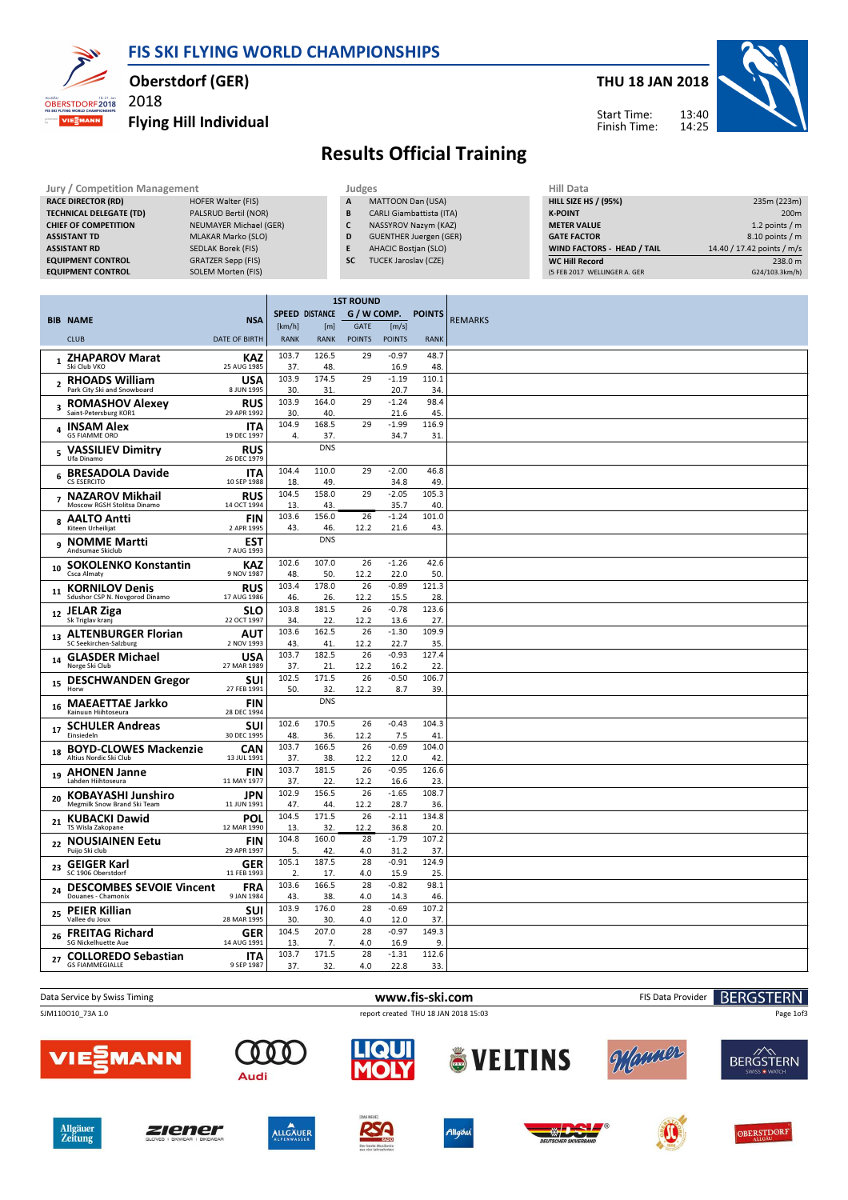FIS SKI FLYING WORLD CHAMPIONSHIPS



#### Oberstdorf (GER)

2018

#### Flying Hill Individual



# Results Official Training

| Jury / Competition Management  |                        |           | Judges                          | Hill Data                         |                            |  |  |
|--------------------------------|------------------------|-----------|---------------------------------|-----------------------------------|----------------------------|--|--|
| <b>RACE DIRECTOR (RD)</b>      | HOFER Walter (FIS)     | A         | MATTOON Dan (USA)               | <b>HILL SIZE HS / (95%)</b>       | 235m (223m)                |  |  |
| <b>TECHNICAL DELEGATE (TD)</b> | PALSRUD Bertil (NOR)   | B         | <b>CARLI Giambattista (ITA)</b> | <b>K-POINT</b>                    | 200 <sub>m</sub>           |  |  |
| <b>CHIEF OF COMPETITION</b>    | NEUMAYER Michael (GER) |           | NASSYROV Nazym (KAZ)            | <b>METER VALUE</b>                | 1.2 points $/m$            |  |  |
| <b>ASSISTANT TD</b>            | MLAKAR Marko (SLO)     | D         | <b>GUENTHER Juergen (GER)</b>   | <b>GATE FACTOR</b>                | $8.10$ points / m          |  |  |
| <b>ASSISTANT RD</b>            | SEDLAK Borek (FIS)     |           | <b>AHACIC Bostjan (SLO)</b>     | <b>WIND FACTORS - HEAD / TAIL</b> | 14.40 / 17.42 points / m/s |  |  |
| <b>EQUIPMENT CONTROL</b>       | GRATZER Sepp (FIS)     | <b>SC</b> | TUCEK Jaroslav (CZE)            | <b>WC Hill Record</b>             | 238.0 m                    |  |  |
| <b>EQUIPMENT CONTROL</b>       | SOLEM Morten (FIS)     |           |                                 | (5 FEB 2017 WELLINGER A. GER      | G24/103.3km/h)             |  |  |

|                |                                                       |                           | <b>1ST ROUND</b> |                       |               |                    |             |                |
|----------------|-------------------------------------------------------|---------------------------|------------------|-----------------------|---------------|--------------------|-------------|----------------|
|                | <b>BIB NAME</b>                                       | <b>NSA</b>                |                  | <b>SPEED DISTANCE</b> |               | G / W COMP. POINTS |             | <b>REMARKS</b> |
|                |                                                       |                           | [km/h]           | [m]                   | <b>GATE</b>   | [m/s]              |             |                |
|                | <b>CLUB</b>                                           | <b>DATE OF BIRTH</b>      | <b>RANK</b>      | <b>RANK</b>           | <b>POINTS</b> | <b>POINTS</b>      | <b>RANK</b> |                |
| $\mathbf{1}$   | <b>ZHAPAROV Marat</b><br>Ski Club VKO                 | KAZ                       | 103.7            | 126.5                 | 29            | $-0.97$            | 48.7        |                |
|                |                                                       | 25 AUG 1985               | 37.<br>103.9     | 48.<br>174.5          | 29            | 16.9<br>$-1.19$    | 48<br>110.1 |                |
|                | 2 RHOADS William<br>Park City Ski and Snowboard       | <b>USA</b><br>8 JUN 1995  | 30.              | 31.                   |               | 20.7               | 34          |                |
|                | <b>ROMASHOV Alexey</b>                                | <b>RUS</b>                | 103.9            | 164.0                 | 29            | $-1.24$            | 98.4        |                |
| 3              | Saint-Petersburg KOR1                                 | 29 APR 1992               | 30.              | 40.                   |               | 21.6               | 45          |                |
|                | <b>INSAM Alex</b><br>GS FIAMME ORO                    | <b>ITA</b><br>19 DEC 1997 | 104.9<br>4.      | 168.5<br>37.          | 29            | $-1.99$<br>34.7    | 116.9<br>31 |                |
| 5              | <b>VASSILIEV Dimitry</b><br>Ufa Dinamo                | <b>RUS</b><br>26 DEC 1979 |                  | <b>DNS</b>            |               |                    |             |                |
| 6              | <b>BRESADOLA Davide</b><br>CS ESERCITO                | <b>ITA</b><br>10 SEP 1988 | 104.4<br>18.     | 110.0<br>49.          | 29            | $-2.00$<br>34.8    | 46.8<br>49  |                |
|                | <b>NAZAROV Mikhail</b>                                | <b>RUS</b>                | 104.5            | 158.0                 | 29            | $-2.05$            | 105.3       |                |
| $\overline{7}$ | Moscow RGSH Stolitsa Dinamo                           | 14 OCT 1994               | 13.              | 43.                   |               | 35.7               | 40          |                |
| 8              | <b>AALTO Antti</b>                                    | <b>FIN</b>                | 103.6            | 156.0                 | 26            | $-1.24$            | 101.0       |                |
|                | Kiteen Urheilijat                                     | 2 APR 1995                | 43.              | 46.                   | 12.2          | 21.6               | 43          |                |
|                | NOMME Martti<br>Andsumae Skiclub                      | <b>EST</b><br>7 AUG 1993  |                  | <b>DNS</b>            |               |                    |             |                |
| 10             | <b>SOKOLENKO Konstantin</b><br>Csca Almatv            | <b>KAZ</b><br>9 NOV 1987  | 102.6<br>48.     | 107.0<br>50.          | 26<br>12.2    | $-1.26$<br>22.0    | 42.6<br>50  |                |
| 11             | <b>KORNILOV Denis</b>                                 | <b>RUS</b>                | 103.4            | 178.0                 | 26            | $-0.89$            | 121.3       |                |
|                | Sdushor CSP N. Novgorod Dinamo                        | 17 AUG 1986               | 46.              | 26.                   | 12.2          | 15.5               | 28          |                |
| 12             | JELAR Ziga<br>Sk Triglav kranj                        | SLO<br>22 OCT 1997        | 103.8<br>34.     | 181.5<br>22.          | 26<br>12.2    | $-0.78$<br>13.6    | 123.6<br>27 |                |
|                | <b>ALTENBURGER Florian</b>                            | <b>AUT</b>                | 103.6            | 162.5                 | 26            | $-1.30$            | 109.9       |                |
| 13             | SC Seekirchen-Salzburg                                | 2 NOV 1993                | 43.              | 41.                   | 12.2          | 22.7               | 35          |                |
| 14             | <b>GLASDER Michael</b><br>Norge Ski Club              | <b>USA</b><br>27 MAR 1989 | 103.7<br>37.     | 182.5<br>21.          | 26<br>12.2    | $-0.93$<br>16.2    | 127.4<br>22 |                |
| 15             | <b>DESCHWANDEN Gregor</b>                             | <b>SUI</b><br>27 FEB 1991 | 102.5<br>50.     | 171.5<br>32.          | 26<br>12.2    | $-0.50$<br>8.7     | 106.7<br>39 |                |
| 16             | <b>MAEAETTAE Jarkko</b><br>Kainuun Hiihtoseura        | FIN<br>28 DEC 1994        |                  | <b>DNS</b>            |               |                    |             |                |
|                | <b>SCHULER Andreas</b>                                | <b>SUI</b>                | 102.6            | 170.5                 | 26            | $-0.43$            | 104.3       |                |
| 17             | Einsiedeln                                            | 30 DEC 1995               | 48.              | 36.                   | 12.2          | 7.5                | 41          |                |
| 18             | <b>BOYD-CLOWES Mackenzie</b>                          | <b>CAN</b>                | 103.7            | 166.5                 | 26            | $-0.69$            | 104.0       |                |
|                | Altius Nordic Ski Club                                | 13 JUL 1991               | 37.<br>103.7     | 38.<br>181.5          | 12.2          | 12.0<br>$-0.95$    | 42<br>126.6 |                |
| 19             | <b>AHONEN Janne</b><br>Lahden Hiihtoseura             | <b>FIN</b><br>11 MAY 1977 | 37.              | 22.                   | 26<br>12.2    | 16.6               | 23          |                |
|                | <b>KOBAYASHI Junshiro</b>                             | <b>JPN</b>                | 102.9            | 156.5                 | 26            | $-1.65$            | 108.7       |                |
| 20             | Megmilk Snow Brand Ski Team                           | 11 JUN 1991               | 47.              | 44.                   | 12.2          | 28.7               | 36.         |                |
| 21             | <b>KUBACKI Dawid</b><br>TS Wisla Zakopane             | <b>POL</b><br>12 MAR 1990 | 104.5<br>13.     | 171.5<br>32.          | 26<br>12.2    | $-2.11$<br>36.8    | 134.8<br>20 |                |
| 22             | <b>NOUSIAINEN Eetu</b>                                | <b>FIN</b>                | 104.8            | 160.0                 | 28            | $-1.79$            | 107.2       |                |
|                | Puijo Ski club                                        | 29 APR 1997               | 5.               | 42.                   | 4.0           | 31.2               | 37          |                |
| 23             | <b>GEIGER Karl</b><br>SC 1906 Oberstdorf              | <b>GER</b><br>11 FEB 1993 | 105.1<br>2.      | 187.5<br>17.          | 28<br>4.0     | $-0.91$<br>15.9    | 124.9<br>25 |                |
| 24             | <b>DESCOMBES SEVOIE Vincent</b><br>Douanes - Chamonix | <b>FRA</b><br>9 JAN 1984  | 103.6<br>43.     | 166.5<br>38.          | 28<br>4.0     | $-0.82$<br>14.3    | 98.1<br>46. |                |
|                | 25 PEIER Killian<br>Vallee du Joux                    | <b>SUI</b><br>28 MAR 1995 | 103.9<br>30.     | 176.0<br>30.          | 28<br>4.0     | $-0.69$<br>12.0    | 107.2<br>37 |                |
| 26             | <b>FREITAG Richard</b>                                | <b>GER</b>                | 104.5            | 207.0                 | 28            | $-0.97$            | 149.3       |                |
|                | <b>SG Nickelhuette Aue</b>                            | 14 AUG 1991               | 13.<br>103.7     | 7.<br>171.5           | 4.0<br>28     | 16.9<br>$-1.31$    | 9<br>112.6  |                |
| 27             | <b>COLLOREDO Sebastian</b><br><b>GS FIAMMEGIALLE</b>  | <b>ITA</b><br>9 SEP 1987  | 37.              | 32.                   | 4.0           | 22.8               | 33          |                |
|                |                                                       |                           |                  |                       |               |                    |             |                |





**BERGSTERN** 

Page 1of3







Audi









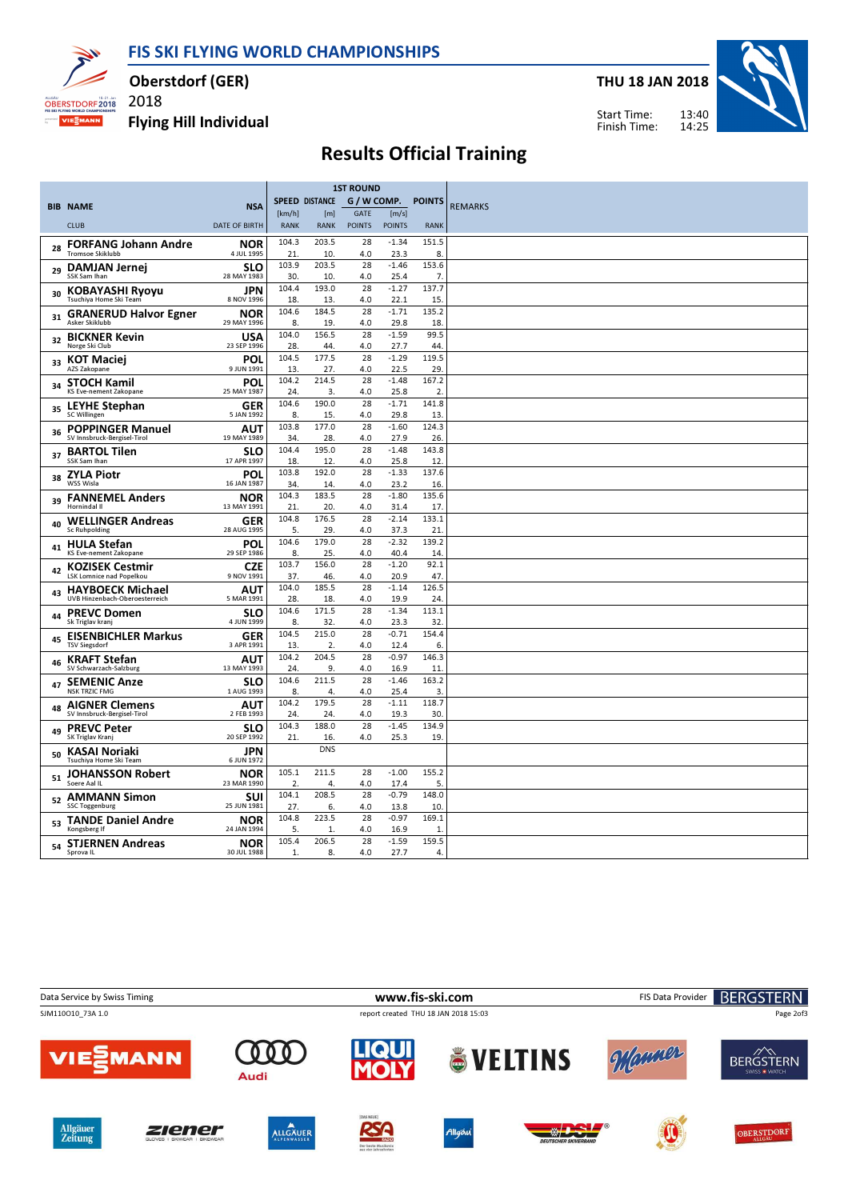FIS SKI FLYING WORLD CHAMPIONSHIPS



Oberstdorf (GER)

Flying Hill Individual

2018

THU 18 JAN 2018



Start Time: Finish Time:

# Results Official Training

|    |                                                        |                           | <b>1ST ROUND</b> |                |               |                 |               |                |
|----|--------------------------------------------------------|---------------------------|------------------|----------------|---------------|-----------------|---------------|----------------|
|    | <b>BIB NAME</b>                                        | <b>NSA</b>                |                  | SPEED DISTANCE | G / W COMP.   |                 | <b>POINTS</b> | <b>REMARKS</b> |
|    |                                                        |                           | [km/h]           | [m]            | GATE          | [m/s]           |               |                |
|    | <b>CLUB</b>                                            | <b>DATE OF BIRTH</b>      | <b>RANK</b>      | <b>RANK</b>    | <b>POINTS</b> | <b>POINTS</b>   | <b>RANK</b>   |                |
| 28 | <b>FORFANG Johann Andre</b><br><b>Tromsoe Skiklubb</b> | <b>NOR</b><br>4 JUL 1995  | 104.3<br>21.     | 203.5<br>10.   | 28<br>4.0     | $-1.34$<br>23.3 | 151.5<br>8.   |                |
|    | 29 DAMJAN Jernej                                       | <b>SLO</b>                | 103.9            | 203.5          | 28            | $-1.46$         | 153.6         |                |
|    | SSK Sam Ihan                                           | 28 MAY 1983               | 30.              | 10.            | 4.0           | 25.4            | 7.<br>137.7   |                |
| 30 | <b>KOBAYASHI Ryoyu</b><br>Tsuchiya Home Ski Team       | <b>JPN</b><br>8 NOV 1996  | 104.4<br>18.     | 193.0<br>13.   | 28<br>4.0     | $-1.27$<br>22.1 | 15            |                |
| 31 | <b>GRANERUD Halvor Egner</b><br>Asker Skiklubb         | <b>NOR</b><br>29 MAY 1996 | 104.6<br>8.      | 184.5<br>19.   | 28<br>4.0     | $-1.71$<br>29.8 | 135.2<br>18.  |                |
|    | 32 BICKNER Kevin<br>Norge Ski Club                     | <b>USA</b><br>23 SEP 1996 | 104.0<br>28.     | 156.5<br>44.   | 28<br>4.0     | $-1.59$<br>27.7 | 99.5<br>44.   |                |
| 33 | <b>KOT Maciej</b><br>AZS Zakopane                      | POL<br>9 JUN 1991         | 104.5<br>13.     | 177.5<br>27.   | 28<br>4.0     | $-1.29$<br>22.5 | 119.5<br>29   |                |
| 34 | <b>STOCH Kamil</b><br>KS Eve-nement Zakopane           | POL<br>25 MAY 1987        | 104.2<br>24.     | 214.5<br>3.    | 28<br>4.0     | $-1.48$<br>25.8 | 167.2<br>2.   |                |
|    | <b>LEYHE Stephan</b>                                   | <b>GER</b>                | 104.6            | 190.0          | 28            | $-1.71$         | 141.8         |                |
| 35 | SC Willingen                                           | 5 JAN 1992                | 8.               | 15.            | 4.0           | 29.8            | 13.           |                |
| 36 | <b>POPPINGER Manuel</b><br>SV Innsbruck-Bergisel-Tirol | <b>AUT</b><br>19 MAY 1989 | 103.8<br>34.     | 177.0<br>28.   | 28<br>4.0     | $-1.60$<br>27.9 | 124.3<br>26   |                |
| 37 | <b>BARTOL Tilen</b><br>SSK Sam Ihan                    | <b>SLO</b><br>17 APR 1997 | 104.4<br>18.     | 195.0<br>12.   | 28<br>4.0     | $-1.48$<br>25.8 | 143.8<br>12   |                |
|    | 38 ZYLA Piotr<br>WSS Wisla                             | POL<br>16 JAN 1987        | 103.8<br>34.     | 192.0<br>14.   | 28<br>4.0     | $-1.33$<br>23.2 | 137.6<br>16.  |                |
| 39 | <b>FANNEMEL Anders</b><br>Hornindal II                 | <b>NOR</b><br>13 MAY 1991 | 104.3<br>21.     | 183.5<br>20.   | 28<br>4.0     | $-1.80$<br>31.4 | 135.6<br>17.  |                |
| 40 | <b>WELLINGER Andreas</b><br><b>Sc Ruhpolding</b>       | <b>GER</b><br>28 AUG 1995 | 104.8<br>5.      | 176.5<br>29.   | 28<br>4.0     | $-2.14$<br>37.3 | 133.1<br>21   |                |
| 41 | <b>HULA Stefan</b><br>KS Eve-nement Zakopane           | <b>POL</b><br>29 SEP 1986 | 104.6<br>8.      | 179.0<br>25.   | 28<br>4.0     | $-2.32$<br>40.4 | 139.2<br>14   |                |
| 42 | <b>KOZISEK Cestmir</b><br>LSK Lomnice nad Popelkou     | <b>CZE</b><br>9 NOV 1991  | 103.7<br>37.     | 156.0<br>46.   | 28<br>4.0     | $-1.20$<br>20.9 | 92.1<br>47.   |                |
| 43 | <b>HAYBOECK Michael</b>                                | <b>AUT</b>                | 104.0            | 185.5          | 28            | $-1.14$         | 126.5         |                |
|    | UVB Hinzenbach-Oberoesterreich                         | 5 MAR 1991                | 28.              | 18.            | 4.0           | 19.9            | 24            |                |
| 44 | <b>PREVC Domen</b><br>Sk Triglav kranj                 | SLO<br>4 JUN 1999         | 104.6<br>8.      | 171.5<br>32.   | 28<br>4.0     | $-1.34$<br>23.3 | 113.1<br>32   |                |
| 45 | <b>EISENBICHLER Markus</b><br><b>TSV Siegsdorf</b>     | <b>GER</b><br>3 APR 1991  | 104.5<br>13.     | 215.0<br>2.    | 28<br>4.0     | $-0.71$<br>12.4 | 154.4<br>6.   |                |
| 46 | <b>KRAFT Stefan</b><br>SV Schwarzach-Salzburg          | <b>AUT</b><br>13 MAY 1993 | 104.2<br>24.     | 204.5<br>9.    | 28<br>4.0     | $-0.97$<br>16.9 | 146.3<br>11   |                |
|    | 47 SEMENIC Anze<br><b>NSK TRZIC FMG</b>                | SLO<br>1 AUG 1993         | 104.6            | 211.5          | 28            | $-1.46$         | 163.2         |                |
|    | <b>AIGNER Clemens</b>                                  | AUT                       | 8.<br>104.2      | 4.<br>179.5    | 4.0<br>28     | 25.4<br>$-1.11$ | 3.<br>118.7   |                |
| 48 | SV Innsbruck-Bergisel-Tirol                            | 2 FEB 1993                | 24.              | 24.            | 4.0           | 19.3            | 30            |                |
| 49 | <b>PREVC Peter</b><br>SK Triglav Kranj                 | <b>SLO</b><br>20 SEP 1992 | 104.3<br>21.     | 188.0<br>16.   | 28<br>4.0     | $-1.45$<br>25.3 | 134.9<br>19   |                |
| 50 | KASAI Noriaki<br>Tsuchiya Home Ski Team                | <b>JPN</b><br>6 JUN 1972  |                  | <b>DNS</b>     |               |                 |               |                |
| 51 | <b>JOHANSSON Robert</b><br>Soere Aal IL                | <b>NOR</b><br>23 MAR 1990 | 105.1<br>2.      | 211.5<br>4.    | 28<br>4.0     | $-1.00$<br>17.4 | 155.2<br>5.   |                |
| 52 | <b>AMMANN Simon</b>                                    | SUI                       | 104.1            | 208.5          | 28            | $-0.79$         | 148.0         |                |
|    | <b>SSC Toggenburg</b>                                  | 25 JUN 1981               | 27.              | 6.             | 4.0           | 13.8            | 10.           |                |
| 53 | <b>TANDE Daniel Andre</b><br>Kongsberg If              | <b>NOR</b><br>24 JAN 1994 | 104.8<br>5.      | 223.5<br>-1.   | 28<br>4.0     | $-0.97$<br>16.9 | 169.1<br>1    |                |
|    | 54 STJERNEN Andreas                                    | <b>NOR</b>                | 105.4            | 206.5          | 28            | $-1.59$         | 159.5         |                |
|    | Sprova IL                                              | 30 JUL 1988               | 1.               | 8.             | 4.0           | 27.7            | 4.            |                |